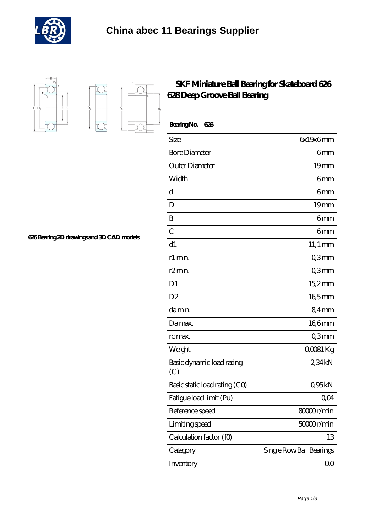



 $D_{a}$ 

 $\overrightarrow{D}$ 

I.

## **[SKF Miniature Ball Bearing for Skateboard 626](https://m.buysomaonlinemed.com/skf-628-bearing/skf-miniature-ball-bearing-for-skateboard-626-628-deep-groove-ball-bearing.html) [628 Deep Groove Ball Bearing](https://m.buysomaonlinemed.com/skf-628-bearing/skf-miniature-ball-bearing-for-skateboard-626-628-deep-groove-ball-bearing.html)**

| BearingNo.<br>626                |                          |
|----------------------------------|--------------------------|
| Size                             | 6x19x6mm                 |
| <b>Bore Diameter</b>             | 6mm                      |
| Outer Diameter                   | 19 <sub>mm</sub>         |
| Width                            | 6mm                      |
| d                                | 6 <sub>mm</sub>          |
| D                                | 19 <sub>mm</sub>         |
| B                                | 6mm                      |
| $\overline{C}$                   | 6mm                      |
| d1                               | $11,1 \text{ mm}$        |
| r1 min.                          | Q3mm                     |
| r2min.                           | Q3mm                     |
| D <sub>1</sub>                   | 15,2mm                   |
| D <sub>2</sub>                   | 165mm                    |
| damin.                           | 84mm                     |
| Damax.                           | 166mm                    |
| rc max.                          | Q3mm                     |
| Weight                           | QOO81 Kg                 |
| Basic dynamic load rating<br>(C) | 234kN                    |
| Basic static load rating (CO)    | Q95kN                    |
| Fatigue load limit (Pu)          | QO4                      |
| Reference speed                  | 8000r/min                |
| Limiting speed                   | 50000r/min               |
| Calculation factor (f0)          | 13                       |
| Category                         | Single Row Ball Bearings |
| Inventory                        | 0 <sub>0</sub>           |

**[626 Bearing 2D drawings and 3D CAD models](https://m.buysomaonlinemed.com/pic-639311.html)**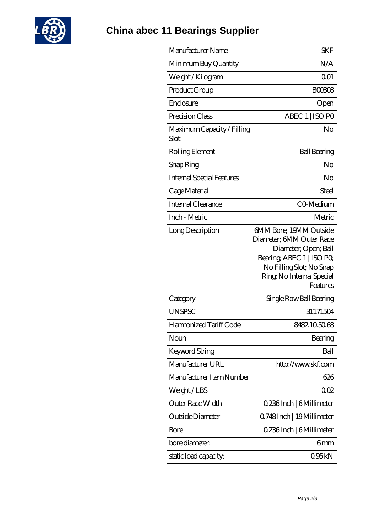

**[China abec 11 Bearings Supplier](https://m.buysomaonlinemed.com)**

| <b>SKF</b>                                                                                                                                                                   |
|------------------------------------------------------------------------------------------------------------------------------------------------------------------------------|
| N/A                                                                                                                                                                          |
| 0 <sub>01</sub>                                                                                                                                                              |
| <b>BOO308</b>                                                                                                                                                                |
| Open                                                                                                                                                                         |
| ABEC 1   ISO PO                                                                                                                                                              |
| No                                                                                                                                                                           |
| <b>Ball Bearing</b>                                                                                                                                                          |
| No                                                                                                                                                                           |
| No                                                                                                                                                                           |
| Steel                                                                                                                                                                        |
| CO-Medium                                                                                                                                                                    |
| Metric                                                                                                                                                                       |
| 6MM Bore; 19MM Outside<br>Diameter; 6MM Outer Race<br>Diameter; Open; Ball<br>Bearing, ABEC 1   ISO PO,<br>No Filling Slot; No Snap<br>Ring, No Internal Special<br>Features |
| Single Row Ball Bearing                                                                                                                                                      |
| 31171504                                                                                                                                                                     |
| 8482.105068                                                                                                                                                                  |
| Bearing                                                                                                                                                                      |
| Ball                                                                                                                                                                         |
| http://www.skf.com                                                                                                                                                           |
| 626                                                                                                                                                                          |
| 002                                                                                                                                                                          |
| 0.236Inch   6Millimeter                                                                                                                                                      |
| 0.748Inch   19 Millimeter                                                                                                                                                    |
| 0.236Inch   6Millimeter                                                                                                                                                      |
|                                                                                                                                                                              |
| 6mm                                                                                                                                                                          |
|                                                                                                                                                                              |